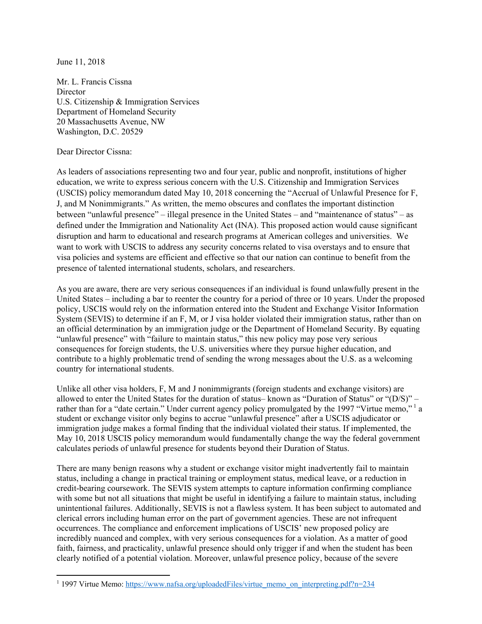June 11, 2018

Mr. L. Francis Cissna **Director** U.S. Citizenship & Immigration Services Department of Homeland Security 20 Massachusetts Avenue, NW Washington, D.C. 20529

## Dear Director Cissna:

As leaders of associations representing two and four year, public and nonprofit, institutions of higher education, we write to express serious concern with the U.S. Citizenship and Immigration Services (USCIS) policy memorandum dated May 10, 2018 concerning the "Accrual of Unlawful Presence for F, J, and M Nonimmigrants." As written, the memo obscures and conflates the important distinction between "unlawful presence" – illegal presence in the United States – and "maintenance of status" – as defined under the Immigration and Nationality Act (INA). This proposed action would cause significant disruption and harm to educational and research programs at American colleges and universities. We want to work with USCIS to address any security concerns related to visa overstays and to ensure that visa policies and systems are efficient and effective so that our nation can continue to benefit from the presence of talented international students, scholars, and researchers.

As you are aware, there are very serious consequences if an individual is found unlawfully present in the United States – including a bar to reenter the country for a period of three or 10 years. Under the proposed policy, USCIS would rely on the information entered into the Student and Exchange Visitor Information System (SEVIS) to determine if an F, M, or J visa holder violated their immigration status, rather than on an official determination by an immigration judge or the Department of Homeland Security. By equating "unlawful presence" with "failure to maintain status," this new policy may pose very serious consequences for foreign students, the U.S. universities where they pursue higher education, and contribute to a highly problematic trend of sending the wrong messages about the U.S. as a welcoming country for international students.

Unlike all other visa holders, F, M and J nonimmigrants (foreign students and exchange visitors) are allowed to enter the United States for the duration of status– known as "Duration of Status" or "(D/S)" – rather than for a "date certain." Under current agency policy promulgated by the 1997 "Virtue memo," a student or exchange visitor only begins to accrue "unlawful presence" after a USCIS adjudicator or immigration judge makes a formal finding that the individual violated their status. If implemented, the May 10, 2018 USCIS policy memorandum would fundamentally change the way the federal government calculates periods of unlawful presence for students beyond their Duration of Status.

There are many benign reasons why a student or exchange visitor might inadvertently fail to maintain status, including a change in practical training or employment status, medical leave, or a reduction in credit-bearing coursework. The SEVIS system attempts to capture information confirming compliance with some but not all situations that might be useful in identifying a failure to maintain status, including unintentional failures. Additionally, SEVIS is not a flawless system. It has been subject to automated and clerical errors including human error on the part of government agencies. These are not infrequent occurrences. The compliance and enforcement implications of USCIS' new proposed policy are incredibly nuanced and complex, with very serious consequences for a violation. As a matter of good faith, fairness, and practicality, unlawful presence should only trigger if and when the student has been clearly notified of a potential violation. Moreover, unlawful presence policy, because of the severe

<sup>&</sup>lt;sup>1</sup> 1997 Virtue Memo: https://www.nafsa.org/uploadedFiles/virtue memo\_on\_interpreting.pdf?n=234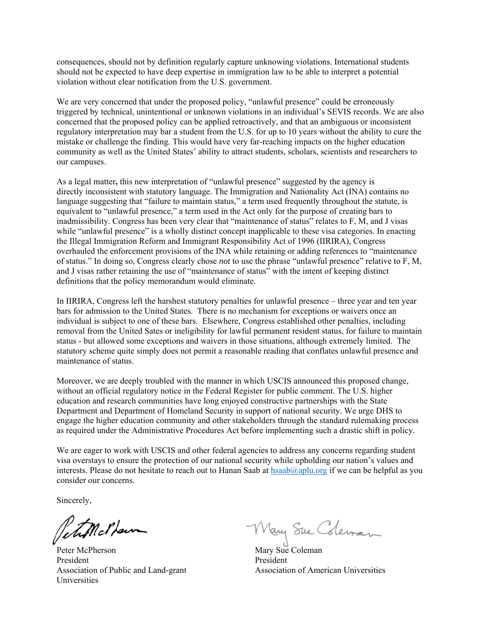consequences, should not by definition regularly capture unknowing violations. International students should not be expected to have deep expertise in immigration law to be able to interpret a potential violation without clear notification from the U.S. government.

We are very concerned that under the proposed policy, "unlawful presence" could be erroneously triggered by technical, unintentional or unknown violations in an individual's SEVIS records. We are also concerned that the proposed policy can be applied retroactively, and that an ambiguous or inconsistent regulatory interpretation may bar a student from the U.S. for up to 10 years without the ability to cure the mistake or challenge the finding. This would have very far-reaching impacts on the higher education community as well as the United States' ability to attract students, scholars, scientists and researchers to our campuses.

As a legal matter**,** this new interpretation of "unlawful presence" suggested by the agency is directly inconsistent with statutory language. The Immigration and Nationality Act (INA) contains no language suggesting that "failure to maintain status," a term used frequently throughout the statute, is equivalent to "unlawful presence," a term used in the Act only for the purpose of creating bars to inadmissibility. Congress has been very clear that "maintenance of status" relates to F, M, and J visas while "unlawful presence" is a wholly distinct concept inapplicable to these visa categories. In enacting the Illegal Immigration Reform and Immigrant Responsibility Act of 1996 (IIRIRA), Congress overhauled the enforcement provisions of the INA while retaining or adding references to "maintenance of status." In doing so, Congress clearly chose *not* to use the phrase "unlawful presence" relative to F, M, and J visas rather retaining the use of "maintenance of status" with the intent of keeping distinct definitions that the policy memorandum would eliminate.

In IIRIRA, Congress left the harshest statutory penalties for unlawful presence – three year and ten year bars for admission to the United States. There is no mechanism for exceptions or waivers once an individual is subject to one of these bars. Elsewhere, Congress established other penalties, including removal from the United Sates or ineligibility for lawful permanent resident status, for failure to maintain status - but allowed some exceptions and waivers in those situations, although extremely limited. The statutory scheme quite simply does not permit a reasonable reading that conflates unlawful presence and maintenance of status.

Moreover, we are deeply troubled with the manner in which USCIS announced this proposed change, without an official regulatory notice in the Federal Register for public comment. The U.S. higher education and research communities have long enjoyed constructive partnerships with the State Department and Department of Homeland Security in support of national security. We urge DHS to engage the higher education community and other stakeholders through the standard rulemaking process as required under the Administrative Procedures Act before implementing such a drastic shift in policy.

We are eager to work with USCIS and other federal agencies to address any concerns regarding student visa overstays to ensure the protection of our national security while upholding our nation's values and interests. Please do not hesitate to reach out to Hanan Saab at  $hsab(\omega)$  aplu.org if we can be helpful as you consider our concerns.

Sincerely,

Petimotham

Peter McPherson President Association of Public and Land-grant Universities

Mary Sue Coleman

Mary Sue Coleman President Association of American Universities